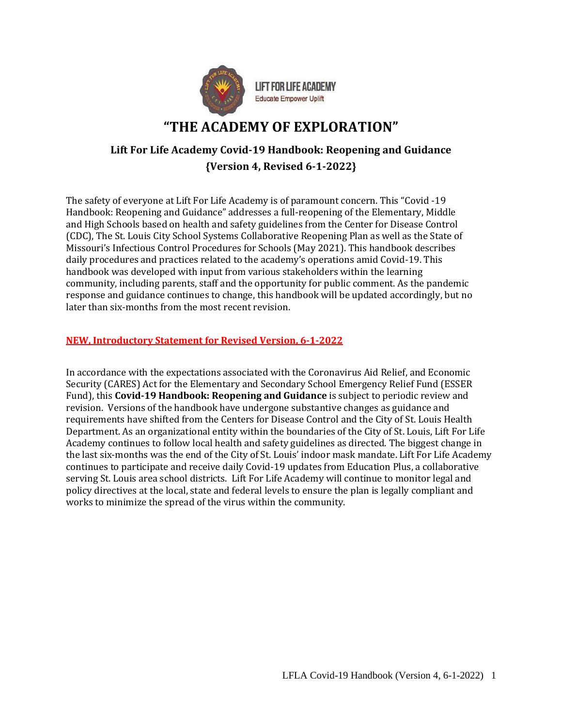

# **"THE ACADEMY OF EXPLORATION"**

## **Lift For Life Academy Covid-19 Handbook: Reopening and Guidance {Version 4, Revised 6-1-2022}**

The safety of everyone at Lift For Life Academy is of paramount concern. This "Covid -19 Handbook: Reopening and Guidance" addresses a full-reopening of the Elementary, Middle and High Schools based on health and safety guidelines from the Center for Disease Control (CDC), The St. Louis City School Systems Collaborative Reopening Plan as well as the State of Missouri's Infectious Control Procedures for Schools (May 2021). This handbook describes daily procedures and practices related to the academy's operations amid Covid-19. This handbook was developed with input from various stakeholders within the learning community, including parents, staff and the opportunity for public comment. As the pandemic response and guidance continues to change, this handbook will be updated accordingly, but no later than six-months from the most recent revision.

#### **NEW, Introductory Statement for Revised Version, 6-1-2022**

In accordance with the expectations associated with the Coronavirus Aid Relief, and Economic Security (CARES) Act for the Elementary and Secondary School Emergency Relief Fund (ESSER Fund), this **Covid-19 Handbook: Reopening and Guidance** is subject to periodic review and revision. Versions of the handbook have undergone substantive changes as guidance and requirements have shifted from the Centers for Disease Control and the City of St. Louis Health Department. As an organizational entity within the boundaries of the City of St. Louis, Lift For Life Academy continues to follow local health and safety guidelines as directed. The biggest change in the last six-months was the end of the City of St. Louis' indoor mask mandate. Lift For Life Academy continues to participate and receive daily Covid-19 updates from Education Plus, a collaborative serving St. Louis area school districts. Lift For Life Academy will continue to monitor legal and policy directives at the local, state and federal levels to ensure the plan is legally compliant and works to minimize the spread of the virus within the community.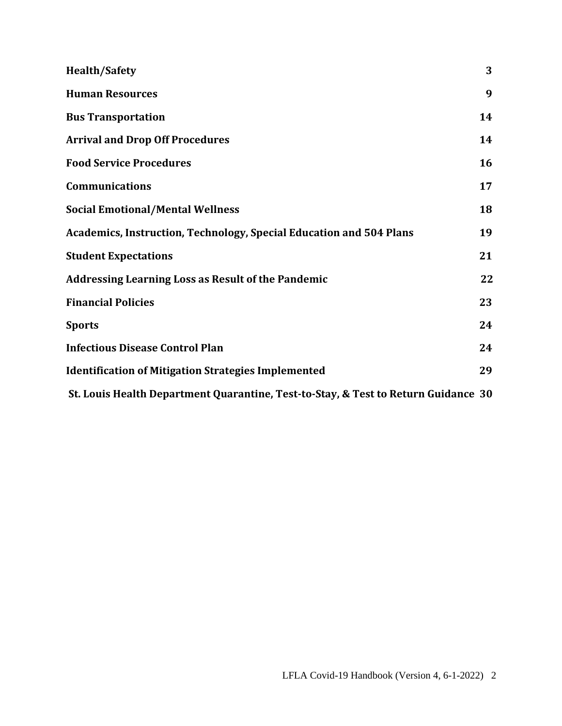| <b>Health/Safety</b>                                                               | 3  |
|------------------------------------------------------------------------------------|----|
| <b>Human Resources</b>                                                             | 9  |
| <b>Bus Transportation</b>                                                          | 14 |
| <b>Arrival and Drop Off Procedures</b>                                             | 14 |
| <b>Food Service Procedures</b>                                                     | 16 |
| <b>Communications</b>                                                              | 17 |
| <b>Social Emotional/Mental Wellness</b>                                            | 18 |
| <b>Academics, Instruction, Technology, Special Education and 504 Plans</b>         | 19 |
| <b>Student Expectations</b>                                                        | 21 |
| <b>Addressing Learning Loss as Result of the Pandemic</b>                          | 22 |
| <b>Financial Policies</b>                                                          | 23 |
| <b>Sports</b>                                                                      | 24 |
| <b>Infectious Disease Control Plan</b>                                             | 24 |
| <b>Identification of Mitigation Strategies Implemented</b>                         | 29 |
| St. Louis Health Department Quarantine, Test-to-Stay, & Test to Return Guidance 30 |    |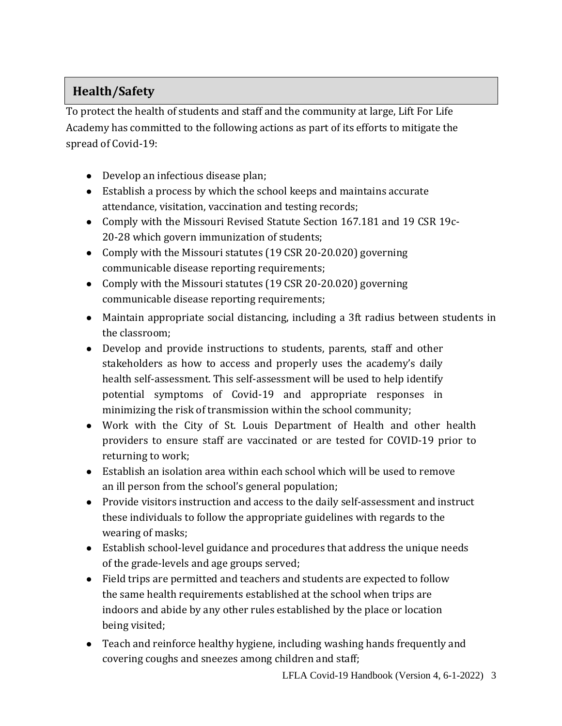# **Health/Safety**

To protect the health of students and staff and the community at large, Lift For Life Academy has committed to the following actions as part of its efforts to mitigate the spread of Covid-19:

- Develop an infectious disease plan;
- Establish a process by which the school keeps and maintains accurate attendance, visitation, vaccination and testing records;
- Comply with the Missouri Revised Statute Section 167.181 and 19 CSR 19c-20-28 which govern immunization of students;
- Comply with the Missouri statutes (19 CSR 20-20.020) governing communicable disease reporting requirements;
- Comply with the Missouri statutes (19 CSR 20-20.020) governing communicable disease reporting requirements;
- Maintain appropriate social distancing, including a 3ft radius between students in the classroom;
- Develop and provide instructions to students, parents, staff and other stakeholders as how to access and properly uses the academy's daily health self-assessment. This self-assessment will be used to help identify potential symptoms of Covid-19 and appropriate responses in minimizing the risk of transmission within the school community;
- Work with the City of St. Louis Department of Health and other health providers to ensure staff are vaccinated or are tested for COVID-19 prior to returning to work;
- Establish an isolation area within each school which will be used to remove an ill person from the school's general population;
- Provide visitors instruction and access to the daily self-assessment and instruct these individuals to follow the appropriate guidelines with regards to the wearing of masks;
- Establish school-level guidance and procedures that address the unique needs of the grade-levels and age groups served;
- Field trips are permitted and teachers and students are expected to follow the same health requirements established at the school when trips are indoors and abide by any other rules established by the place or location being visited;
- Teach and reinforce healthy hygiene, including washing hands frequently and covering coughs and sneezes among children and staff;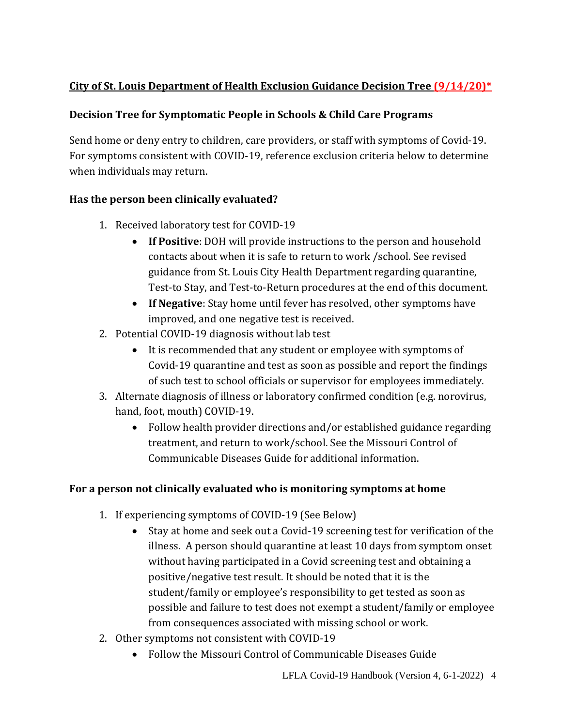## **City of St. Louis Department of Health Exclusion Guidance Decision Tree (9/14/20)\***

## **Decision Tree for Symptomatic People in Schools & Child Care Programs**

Send home or deny entry to children, care providers, or staff with symptoms of Covid-19. For symptoms consistent with COVID-19, reference exclusion criteria below to determine when individuals may return.

## **Has the person been clinically evaluated?**

- 1. Received laboratory test for COVID-19
	- **If Positive**: DOH will provide instructions to the person and household contacts about when it is safe to return to work /school. See revised guidance from St. Louis City Health Department regarding quarantine, Test-to Stay, and Test-to-Return procedures at the end of this document.
	- **If Negative**: Stay home until fever has resolved, other symptoms have improved, and one negative test is received.
- 2. Potential COVID-19 diagnosis without lab test
	- It is recommended that any student or employee with symptoms of Covid-19 quarantine and test as soon as possible and report the findings of such test to school officials or supervisor for employees immediately.
- 3. Alternate diagnosis of illness or laboratory confirmed condition (e.g. norovirus, hand, foot, mouth) COVID-19.
	- Follow health provider directions and/or established guidance regarding treatment, and return to work/school. See the Missouri Control of Communicable Diseases Guide for additional information.

## **For a person not clinically evaluated who is monitoring symptoms at home**

- 1. If experiencing symptoms of COVID-19 (See Below)
	- Stay at home and seek out a Covid-19 screening test for verification of the illness. A person should quarantine at least 10 days from symptom onset without having participated in a Covid screening test and obtaining a positive/negative test result. It should be noted that it is the student/family or employee's responsibility to get tested as soon as possible and failure to test does not exempt a student/family or employee from consequences associated with missing school or work.
- 2. Other symptoms not consistent with COVID-19
	- Follow the Missouri Control of Communicable Diseases Guide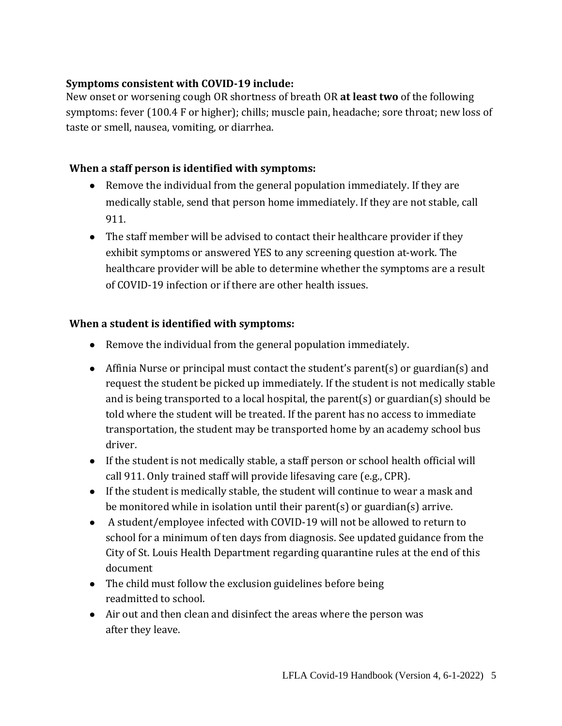### **Symptoms consistent with COVID-19 include:**

New onset or worsening cough OR shortness of breath OR **at least two** of the following symptoms: fever (100.4 F or higher); chills; muscle pain, headache; sore throat; new loss of taste or smell, nausea, vomiting, or diarrhea.

## **When a staff person is identified with symptoms:**

- Remove the individual from the general population immediately. If they are medically stable, send that person home immediately. If they are not stable, call 911.
- The staff member will be advised to contact their healthcare provider if they exhibit symptoms or answered YES to any screening question at-work. The healthcare provider will be able to determine whether the symptoms are a result of COVID-19 infection or if there are other health issues.

## **When a student is identified with symptoms:**

- Remove the individual from the general population immediately.
- Affinia Nurse or principal must contact the student's parent(s) or guardian(s) and request the student be picked up immediately. If the student is not medically stable and is being transported to a local hospital, the parent(s) or guardian(s) should be told where the student will be treated. If the parent has no access to immediate transportation, the student may be transported home by an academy school bus driver.
- If the student is not medically stable, a staff person or school health official will call 911. Only trained staff will provide lifesaving care (e.g., CPR).
- If the student is medically stable, the student will continue to wear a mask and be monitored while in isolation until their parent(s) or guardian(s) arrive.
- A student/employee infected with COVID-19 will not be allowed to return to school for a minimum of ten days from diagnosis. See updated guidance from the City of St. Louis Health Department regarding quarantine rules at the end of this document
- The child must follow the exclusion guidelines before being readmitted to school.
- Air out and then clean and disinfect the areas where the person was after they leave.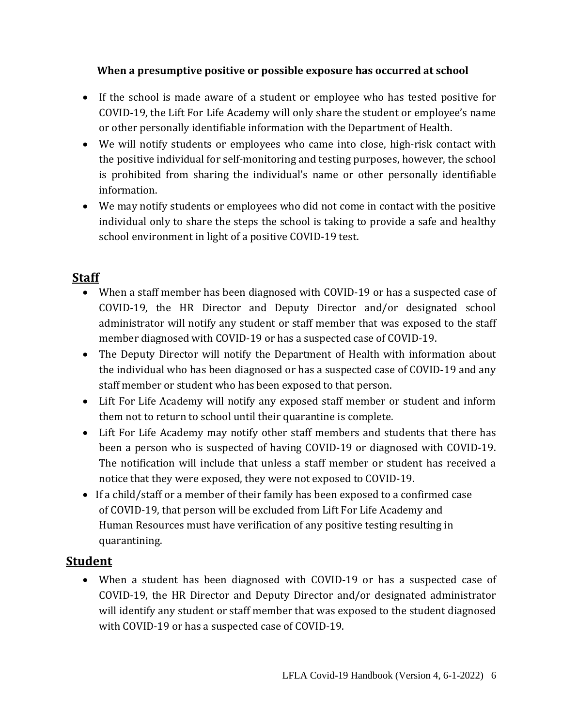### **When a presumptive positive or possible exposure has occurred at school**

- If the school is made aware of a student or employee who has tested positive for COVID-19, the Lift For Life Academy will only share the student or employee's name or other personally identifiable information with the Department of Health.
- We will notify students or employees who came into close, high-risk contact with the positive individual for self-monitoring and testing purposes, however, the school is prohibited from sharing the individual's name or other personally identifiable information.
- We may notify students or employees who did not come in contact with the positive individual only to share the steps the school is taking to provide a safe and healthy school environment in light of a positive COVID-19 test.

## **Staff**

- When a staff member has been diagnosed with COVID-19 or has a suspected case of COVID-19, the HR Director and Deputy Director and/or designated school administrator will notify any student or staff member that was exposed to the staff member diagnosed with COVID-19 or has a suspected case of COVID-19.
- The Deputy Director will notify the Department of Health with information about the individual who has been diagnosed or has a suspected case of COVID-19 and any staff member or student who has been exposed to that person.
- Lift For Life Academy will notify any exposed staff member or student and inform them not to return to school until their quarantine is complete.
- Lift For Life Academy may notify other staff members and students that there has been a person who is suspected of having COVID-19 or diagnosed with COVID-19. The notification will include that unless a staff member or student has received a notice that they were exposed, they were not exposed to COVID-19.
- If a child/staff or a member of their family has been exposed to a confirmed case of COVID-19, that person will be excluded from Lift For Life Academy and Human Resources must have verification of any positive testing resulting in quarantining.

## **Student**

 When a student has been diagnosed with COVID-19 or has a suspected case of COVID-19, the HR Director and Deputy Director and/or designated administrator will identify any student or staff member that was exposed to the student diagnosed with COVID-19 or has a suspected case of COVID-19.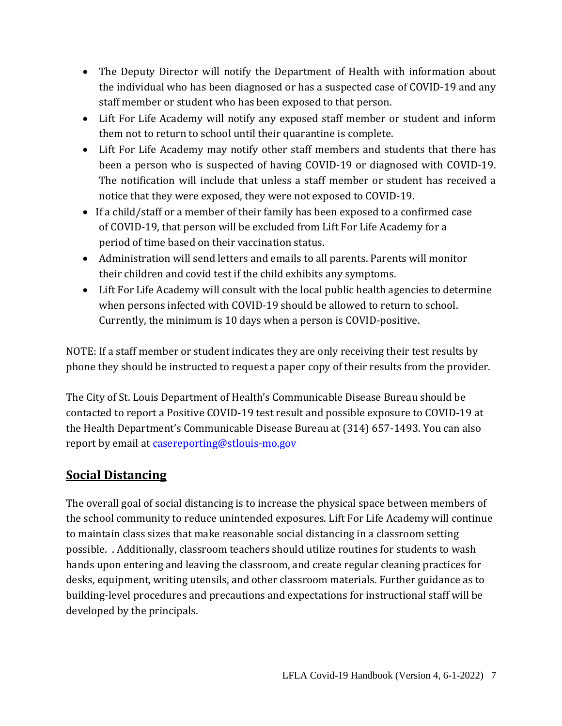- The Deputy Director will notify the Department of Health with information about the individual who has been diagnosed or has a suspected case of COVID-19 and any staff member or student who has been exposed to that person.
- Lift For Life Academy will notify any exposed staff member or student and inform them not to return to school until their quarantine is complete.
- Lift For Life Academy may notify other staff members and students that there has been a person who is suspected of having COVID-19 or diagnosed with COVID-19. The notification will include that unless a staff member or student has received a notice that they were exposed, they were not exposed to COVID-19.
- If a child/staff or a member of their family has been exposed to a confirmed case of COVID-19, that person will be excluded from Lift For Life Academy for a period of time based on their vaccination status.
- Administration will send letters and emails to all parents. Parents will monitor their children and covid test if the child exhibits any symptoms.
- Lift For Life Academy will consult with the local public health agencies to determine when persons infected with COVID-19 should be allowed to return to school. Currently, the minimum is 10 days when a person is COVID-positive.

NOTE: If a staff member or student indicates they are only receiving their test results by phone they should be instructed to request a paper copy of their results from the provider.

The City of St. Louis Department of Health's Communicable Disease Bureau should be contacted to report a Positive COVID-19 test result and possible exposure to COVID-19 at the Health Department's Communicable Disease Bureau at (314) 657-1493. You can also report by email at [casereporting@stlouis-mo.gov](mailto:casereporting@stlouis-mo.gov)

## **Social Distancing**

The overall goal of social distancing is to increase the physical space between members of the school community to reduce unintended exposures. Lift For Life Academy will continue to maintain class sizes that make reasonable social distancing in a classroom setting possible. . Additionally, classroom teachers should utilize routines for students to wash hands upon entering and leaving the classroom, and create regular cleaning practices for desks, equipment, writing utensils, and other classroom materials. Further guidance as to building-level procedures and precautions and expectations for instructional staff will be developed by the principals.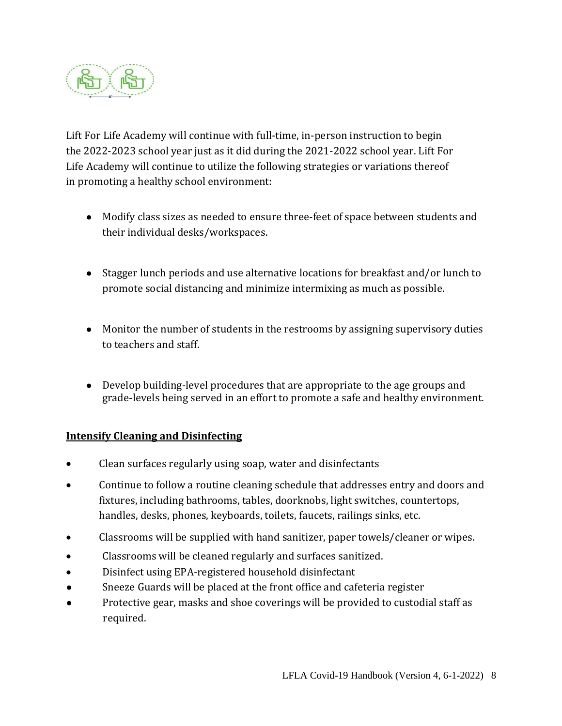

Lift For Life Academy will continue with full-time, in-person instruction to begin the 2022-2023 school year just as it did during the 2021-2022 school year. Lift For Life Academy will continue to utilize the following strategies or variations thereof in promoting a healthy school environment:

- Modify class sizes as needed to ensure three-feet of space between students and their individual desks/workspaces.
- Stagger lunch periods and use alternative locations for breakfast and/or lunch to promote social distancing and minimize intermixing as much as possible.
- Monitor the number of students in the restrooms by assigning supervisory duties to teachers and staff.
- Develop building-level procedures that are appropriate to the age groups and grade-levels being served in an effort to promote a safe and healthy environment.

### **Intensify Cleaning and Disinfecting**

- Clean surfaces regularly using soap, water and disinfectants
- Continue to follow a routine cleaning schedule that addresses entry and doors and fixtures, including bathrooms, tables, doorknobs, light switches, countertops, handles, desks, phones, keyboards, toilets, faucets, railings sinks, etc.
- Classrooms will be supplied with hand sanitizer, paper towels/cleaner or wipes.
- Classrooms will be cleaned regularly and surfaces sanitized.
- Disinfect using EPA-registered household disinfectant
- Sneeze Guards will be placed at the front office and cafeteria register
- Protective gear, masks and shoe coverings will be provided to custodial staff as required.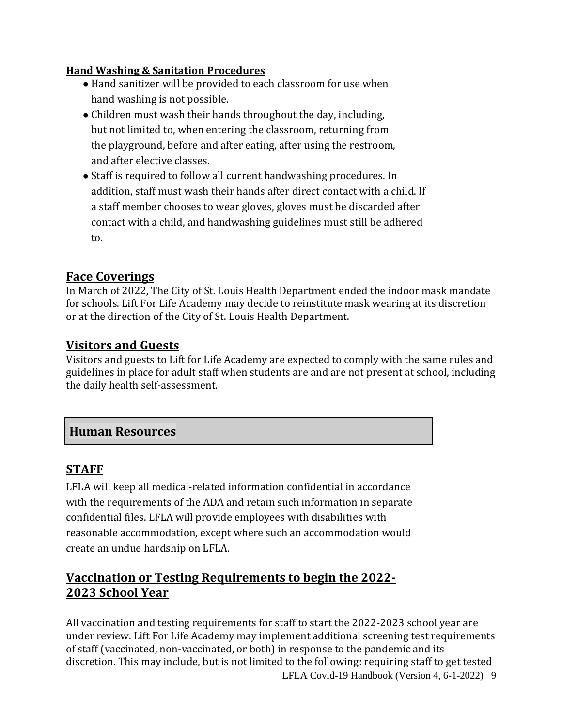### **Hand Washing & Sanitation Procedures**

- Hand sanitizer will be provided to each classroom for use when hand washing is not possible.
- Children must wash their hands throughout the day, including, but not limited to, when entering the classroom, returning from the playground, before and after eating, after using the restroom, and after elective classes.
- Staff is required to follow all current handwashing procedures. In addition, staff must wash their hands after direct contact with a child. If a staff member chooses to wear gloves, gloves must be discarded after contact with a child, and handwashing guidelines must still be adhered to.

## **Face Coverings**

In March of 2022, The City of St. Louis Health Department ended the indoor mask mandate for schools. Lift For Life Academy may decide to reinstitute mask wearing at its discretion or at the direction of the City of St. Louis Health Department.

## **Visitors and Guests**

Visitors and guests to Lift for Life Academy are expected to comply with the same rules and guidelines in place for adult staff when students are and are not present at school, including the daily health self-assessment.

## **Human Resources**

## **STAFF**

LFLA will keep all medical-related information confidential in accordance with the requirements of the ADA and retain such information in separate confidential files. LFLA will provide employees with disabilities with reasonable accommodation, except where such an accommodation would create an undue hardship on LFLA.

## **Vaccination or Testing Requirements to begin the 2022- 2023 School Year**

LFLA Covid-19 Handbook (Version 4, 6-1-2022) 9 All vaccination and testing requirements for staff to start the 2022-2023 school year are under review. Lift For Life Academy may implement additional screening test requirements of staff (vaccinated, non-vaccinated, or both) in response to the pandemic and its discretion. This may include, but is not limited to the following: requiring staff to get tested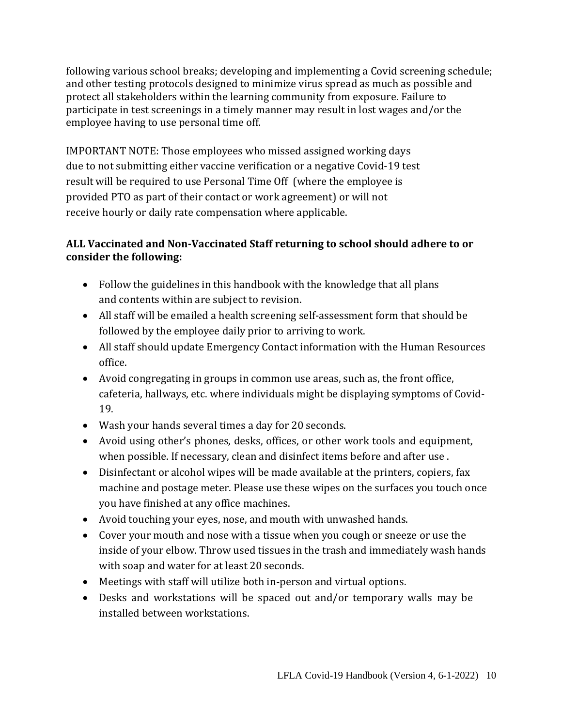following various school breaks; developing and implementing a Covid screening schedule; and other testing protocols designed to minimize virus spread as much as possible and protect all stakeholders within the learning community from exposure. Failure to participate in test screenings in a timely manner may result in lost wages and/or the employee having to use personal time off.

IMPORTANT NOTE: Those employees who missed assigned working days due to not submitting either vaccine verification or a negative Covid-19 test result will be required to use Personal Time Off (where the employee is provided PTO as part of their contact or work agreement) or will not receive hourly or daily rate compensation where applicable.

## **ALL Vaccinated and Non-Vaccinated Staff returning to school should adhere to or consider the following:**

- Follow the guidelines in this handbook with the knowledge that all plans and contents within are subject to revision.
- All staff will be emailed a health screening self-assessment form that should be followed by the employee daily prior to arriving to work.
- All staff should update Emergency Contact information with the Human Resources office.
- Avoid congregating in groups in common use areas, such as, the front office, cafeteria, hallways, etc. where individuals might be displaying symptoms of Covid-19.
- Wash your hands several times a day for 20 seconds.
- Avoid using other's phones, desks, offices, or other work tools and equipment, when possible. If necessary, clean and disinfect items before and after use .
- Disinfectant or alcohol wipes will be made available at the printers, copiers, fax machine and postage meter. Please use these wipes on the surfaces you touch once you have finished at any office machines.
- Avoid touching your eyes, nose, and mouth with unwashed hands.
- Cover your mouth and nose with a tissue when you cough or sneeze or use the inside of your elbow. Throw used tissues in the trash and immediately wash hands with soap and water for at least 20 seconds.
- Meetings with staff will utilize both in-person and virtual options.
- Desks and workstations will be spaced out and/or temporary walls may be installed between workstations.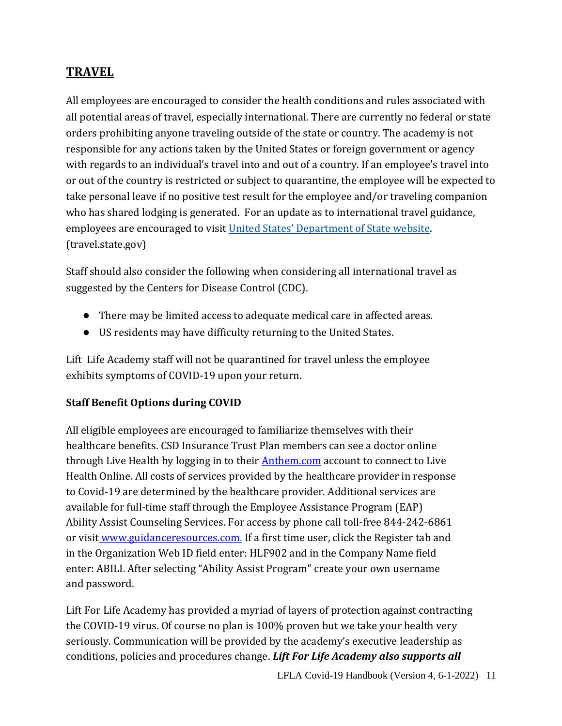# **TRAVEL**

All employees are encouraged to consider the health conditions and rules associated with all potential areas of travel, especially international. There are currently no federal or state orders prohibiting anyone traveling outside of the state or country. The academy is not responsible for any actions taken by the United States or foreign government or agency with regards to an individual's travel into and out of a country. If an employee's travel into or out of the country is restricted or subject to quarantine, the employee will be expected to take personal leave if no positive test result for the employee and/or traveling companion who has shared lodging is generated. For an update as to international travel guidance, employees are encouraged to visit United States' D[epartment of State website.](https://travel.state.gov/content/travel.html) (travel.state.gov)

Staff should also consider the following when considering all international travel as suggested by the Centers for Disease Control (CDC).

- There may be limited access to adequate medical care in affected areas.
- US residents may have difficulty returning to the United States.

Lift Life Academy staff will not be quarantined for travel unless the employee exhibits symptoms of COVID-19 upon your return.

### **Staff Benefit Options during COVID**

All eligible employees are encouraged to familiarize themselves with their healthcare benefits. CSD Insurance Trust Plan members can see a doctor online through Live Health by logging in to their **Anthem.com** account to connect to Live Health Online. All costs of services provided by the healthcare provider in response to Covid-19 are determined by the healthcare provider. Additional services are available for full-time staff through the Employee Assistance Program (EAP) Ability Assist Counseling Services. For access by phone call toll-free 844-242-6861 or visit [www.guidanceresources.com.](http://www.guidanceresources.com/) If a first time user, click the Register tab and in the Organization Web ID field enter: HLF902 and in the Company Name field enter: ABILI. After selecting "Ability Assist Program" create your own username and password.

Lift For Life Academy has provided a myriad of layers of protection against contracting the COVID-19 virus. Of course no plan is 100% proven but we take your health very seriously. Communication will be provided by the academy's executive leadership as conditions, policies and procedures change. *Lift For Life Academy also supports all*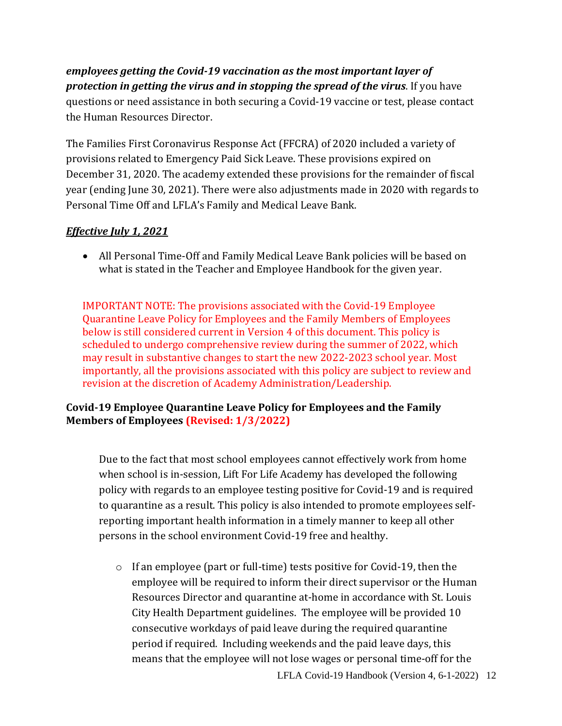## *employees getting the Covid-19 vaccination as the most important layer of protection in getting the virus and in stopping the spread of the virus*. If you have questions or need assistance in both securing a Covid-19 vaccine or test, please contact the Human Resources Director.

The Families First Coronavirus Response Act (FFCRA) of 2020 included a variety of provisions related to Emergency Paid Sick Leave. These provisions expired on December 31, 2020. The academy extended these provisions for the remainder of fiscal year (ending June 30, 2021). There were also adjustments made in 2020 with regards to Personal Time Off and LFLA's Family and Medical Leave Bank.

### *Effective July 1, 2021*

 All Personal Time-Off and Family Medical Leave Bank policies will be based on what is stated in the Teacher and Employee Handbook for the given year.

IMPORTANT NOTE: The provisions associated with the Covid-19 Employee Quarantine Leave Policy for Employees and the Family Members of Employees below is still considered current in Version 4 of this document. This policy is scheduled to undergo comprehensive review during the summer of 2022, which may result in substantive changes to start the new 2022-2023 school year. Most importantly, all the provisions associated with this policy are subject to review and revision at the discretion of Academy Administration/Leadership.

### **Covid-19 Employee Quarantine Leave Policy for Employees and the Family Members of Employees (Revised: 1/3/2022)**

Due to the fact that most school employees cannot effectively work from home when school is in-session, Lift For Life Academy has developed the following policy with regards to an employee testing positive for Covid-19 and is required to quarantine as a result. This policy is also intended to promote employees selfreporting important health information in a timely manner to keep all other persons in the school environment Covid-19 free and healthy.

o If an employee (part or full-time) tests positive for Covid-19, then the employee will be required to inform their direct supervisor or the Human Resources Director and quarantine at-home in accordance with St. Louis City Health Department guidelines. The employee will be provided 10 consecutive workdays of paid leave during the required quarantine period if required. Including weekends and the paid leave days, this means that the employee will not lose wages or personal time-off for the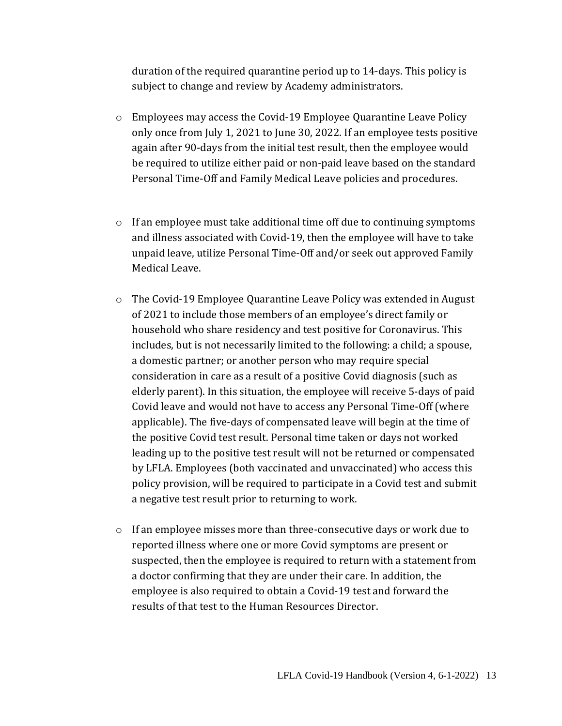duration of the required quarantine period up to 14-days. This policy is subject to change and review by Academy administrators.

- o Employees may access the Covid-19 Employee Quarantine Leave Policy only once from July 1, 2021 to June 30, 2022. If an employee tests positive again after 90-days from the initial test result, then the employee would be required to utilize either paid or non-paid leave based on the standard Personal Time-Off and Family Medical Leave policies and procedures.
- $\circ$  If an employee must take additional time off due to continuing symptoms and illness associated with Covid-19, then the employee will have to take unpaid leave, utilize Personal Time-Off and/or seek out approved Family Medical Leave.
- o The Covid-19 Employee Quarantine Leave Policy was extended in August of 2021 to include those members of an employee's direct family or household who share residency and test positive for Coronavirus. This includes, but is not necessarily limited to the following: a child; a spouse, a domestic partner; or another person who may require special consideration in care as a result of a positive Covid diagnosis (such as elderly parent). In this situation, the employee will receive 5-days of paid Covid leave and would not have to access any Personal Time-Off (where applicable). The five-days of compensated leave will begin at the time of the positive Covid test result. Personal time taken or days not worked leading up to the positive test result will not be returned or compensated by LFLA. Employees (both vaccinated and unvaccinated) who access this policy provision, will be required to participate in a Covid test and submit a negative test result prior to returning to work.
- $\circ$  If an employee misses more than three-consecutive days or work due to reported illness where one or more Covid symptoms are present or suspected, then the employee is required to return with a statement from a doctor confirming that they are under their care. In addition, the employee is also required to obtain a Covid-19 test and forward the results of that test to the Human Resources Director.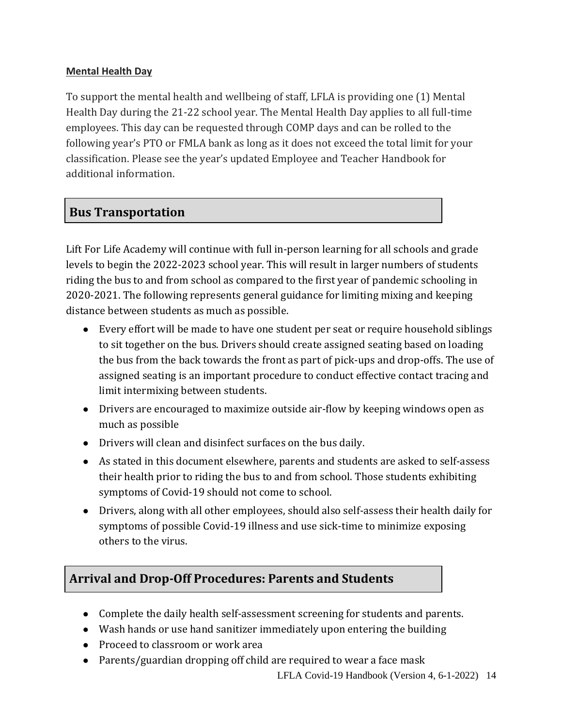#### **Mental Health Day**

To support the mental health and wellbeing of staff, LFLA is providing one (1) Mental Health Day during the 21-22 school year. The Mental Health Day applies to all full-time employees. This day can be requested through COMP days and can be rolled to the following year's PTO or FMLA bank as long as it does not exceed the total limit for your classification. Please see the year's updated Employee and Teacher Handbook for additional information.

# **Bus Transportation**

Lift For Life Academy will continue with full in-person learning for all schools and grade levels to begin the 2022-2023 school year. This will result in larger numbers of students riding the bus to and from school as compared to the first year of pandemic schooling in 2020-2021. The following represents general guidance for limiting mixing and keeping distance between students as much as possible.

- Every effort will be made to have one student per seat or require household siblings to sit together on the bus. Drivers should create assigned seating based on loading the bus from the back towards the front as part of pick-ups and drop-offs. The use of assigned seating is an important procedure to conduct effective contact tracing and limit intermixing between students.
- Drivers are encouraged to maximize outside air-flow by keeping windows open as much as possible
- Drivers will clean and disinfect surfaces on the bus daily.
- As stated in this document elsewhere, parents and students are asked to self-assess their health prior to riding the bus to and from school. Those students exhibiting symptoms of Covid-19 should not come to school.
- Drivers, along with all other employees, should also self-assess their health daily for symptoms of possible Covid-19 illness and use sick-time to minimize exposing others to the virus.

# **Arrival and Drop-Off Procedures: Parents and Students**

- Complete the daily health self-assessment screening for students and parents.
- Wash hands or use hand sanitizer immediately upon entering the building
- Proceed to classroom or work area
- Parents/guardian dropping off child are required to wear a face mask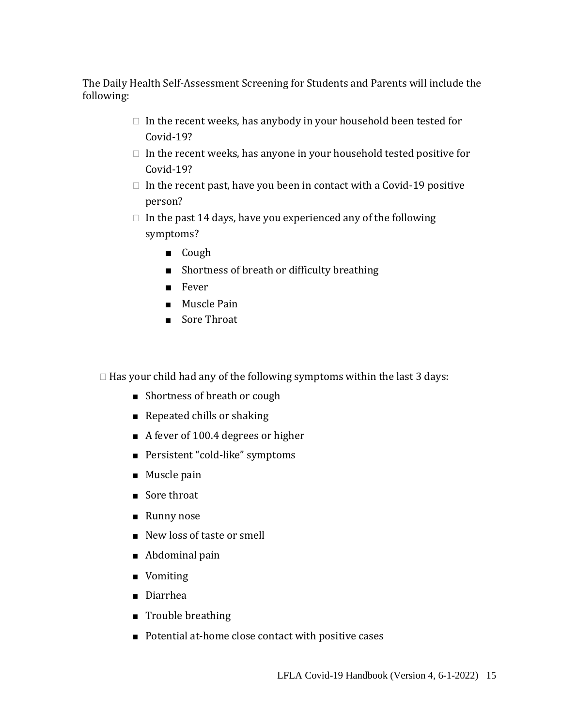The Daily Health Self-Assessment Screening for Students and Parents will include the following:

- $\Box$  In the recent weeks, has anybody in your household been tested for Covid-19?
- $\Box$  In the recent weeks, has anyone in your household tested positive for Covid-19?
- $\Box$  In the recent past, have you been in contact with a Covid-19 positive person?
- $\Box$  In the past 14 days, have you experienced any of the following symptoms?
	- Cough
	- Shortness of breath or difficulty breathing
	- Fever
	- Muscle Pain
	- Sore Throat

 $\Box$  Has your child had any of the following symptoms within the last 3 days:

- Shortness of breath or cough
- Repeated chills or shaking
- A fever of 100.4 degrees or higher
- Persistent "cold-like" symptoms
- Muscle pain
- Sore throat
- Runny nose
- New loss of taste or smell
- Abdominal pain
- Vomiting
- Diarrhea
- Trouble breathing
- Potential at-home close contact with positive cases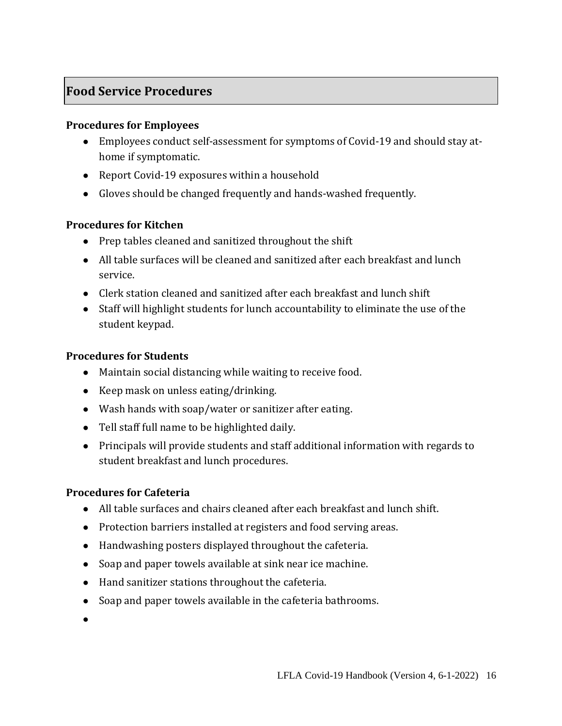# **Food Service Procedures**

#### **Procedures for Employees**

- Employees conduct self-assessment for symptoms of Covid-19 and should stay athome if symptomatic.
- Report Covid-19 exposures within a household
- Gloves should be changed frequently and hands-washed frequently.

#### **Procedures for Kitchen**

- Prep tables cleaned and sanitized throughout the shift
- All table surfaces will be cleaned and sanitized after each breakfast and lunch service.
- Clerk station cleaned and sanitized after each breakfast and lunch shift
- Staff will highlight students for lunch accountability to eliminate the use of the student keypad.

### **Procedures for Students**

- Maintain social distancing while waiting to receive food.
- Keep mask on unless eating/drinking.
- Wash hands with soap/water or sanitizer after eating.
- Tell staff full name to be highlighted daily.
- Principals will provide students and staff additional information with regards to student breakfast and lunch procedures.

### **Procedures for Cafeteria**

- All table surfaces and chairs cleaned after each breakfast and lunch shift.
- Protection barriers installed at registers and food serving areas.
- Handwashing posters displayed throughout the cafeteria.
- Soap and paper towels available at sink near ice machine.
- Hand sanitizer stations throughout the cafeteria.
- Soap and paper towels available in the cafeteria bathrooms.
- $\bullet$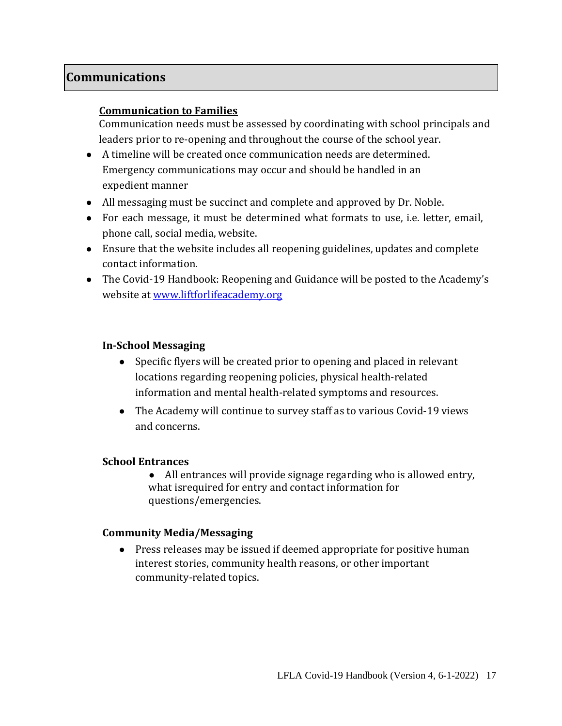## **Communications**

#### **Communication to Families**

Communication needs must be assessed by coordinating with school principals and leaders prior to re-opening and throughout the course of the school year.

- A timeline will be created once communication needs are determined. Emergency communications may occur and should be handled in an expedient manner
- All messaging must be succinct and complete and approved by Dr. Noble.
- For each message, it must be determined what formats to use, i.e. letter, email, phone call, social media, website.
- Ensure that the website includes all reopening guidelines, updates and complete contact information.
- The Covid-19 Handbook: Reopening and Guidance will be posted to the Academy's website at [www.liftforlifeacademy.org](http://www.liftforlifeacademy.org/)

#### **In-School Messaging**

- Specific flyers will be created prior to opening and placed in relevant locations regarding reopening policies, physical health-related information and mental health-related symptoms and resources.
- The Academy will continue to survey staff as to various Covid-19 views and concerns.

#### **School Entrances**

• All entrances will provide signage regarding who is allowed entry, what isrequired for entry and contact information for questions/emergencies.

#### **Community Media/Messaging**

● Press releases may be issued if deemed appropriate for positive human interest stories, community health reasons, or other important community-related topics.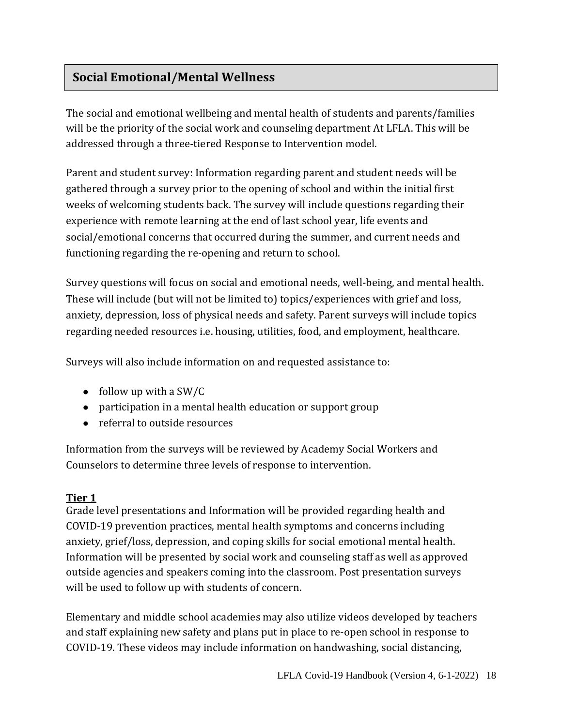# **Social Emotional/Mental Wellness**

The social and emotional wellbeing and mental health of students and parents/families will be the priority of the social work and counseling department At LFLA. This will be addressed through a three-tiered Response to Intervention model.

Parent and student survey: Information regarding parent and student needs will be gathered through a survey prior to the opening of school and within the initial first weeks of welcoming students back. The survey will include questions regarding their experience with remote learning at the end of last school year, life events and social/emotional concerns that occurred during the summer, and current needs and functioning regarding the re-opening and return to school.

Survey questions will focus on social and emotional needs, well-being, and mental health. These will include (but will not be limited to) topics/experiences with grief and loss, anxiety, depression, loss of physical needs and safety. Parent surveys will include topics regarding needed resources i.e. housing, utilities, food, and employment, healthcare.

Surveys will also include information on and requested assistance to:

- $\bullet$  follow up with a SW/C
- participation in a mental health education or support group
- referral to outside resources

Information from the surveys will be reviewed by Academy Social Workers and Counselors to determine three levels of response to intervention.

### **Tier 1**

Grade level presentations and Information will be provided regarding health and COVID-19 prevention practices, mental health symptoms and concerns including anxiety, grief/loss, depression, and coping skills for social emotional mental health. Information will be presented by social work and counseling staff as well as approved outside agencies and speakers coming into the classroom. Post presentation surveys will be used to follow up with students of concern.

Elementary and middle school academies may also utilize videos developed by teachers and staff explaining new safety and plans put in place to re-open school in response to COVID-19. These videos may include information on handwashing, social distancing,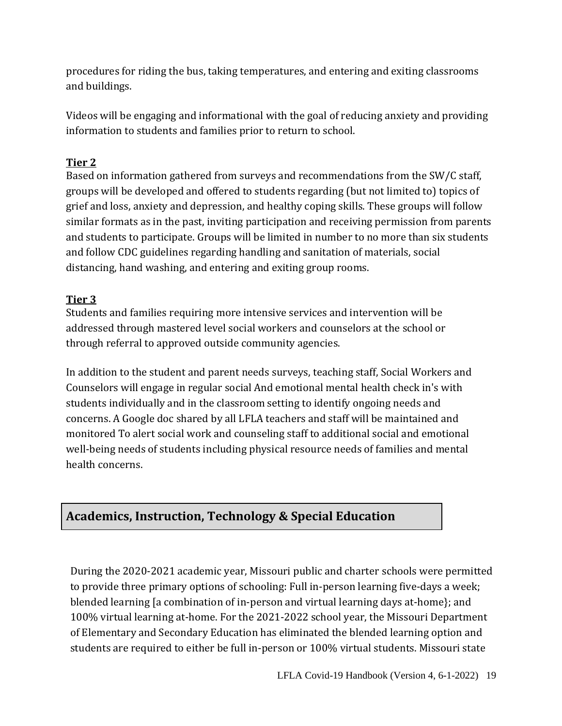procedures for riding the bus, taking temperatures, and entering and exiting classrooms and buildings.

Videos will be engaging and informational with the goal of reducing anxiety and providing information to students and families prior to return to school.

## **Tier 2**

Based on information gathered from surveys and recommendations from the SW/C staff, groups will be developed and offered to students regarding (but not limited to) topics of grief and loss, anxiety and depression, and healthy coping skills. These groups will follow similar formats as in the past, inviting participation and receiving permission from parents and students to participate. Groups will be limited in number to no more than six students and follow CDC guidelines regarding handling and sanitation of materials, social distancing, hand washing, and entering and exiting group rooms.

## **Tier 3**

Students and families requiring more intensive services and intervention will be addressed through mastered level social workers and counselors at the school or through referral to approved outside community agencies.

In addition to the student and parent needs surveys, teaching staff, Social Workers and Counselors will engage in regular social And emotional mental health check in's with students individually and in the classroom setting to identify ongoing needs and concerns. A Google doc shared by all LFLA teachers and staff will be maintained and monitored To alert social work and counseling staff to additional social and emotional well-being needs of students including physical resource needs of families and mental health concerns.

# **Academics, Instruction, Technology & Special Education**

During the 2020-2021 academic year, Missouri public and charter schools were permitted to provide three primary options of schooling: Full in-person learning five-days a week; blended learning [a combination of in-person and virtual learning days at-home}; and 100% virtual learning at-home. For the 2021-2022 school year, the Missouri Department of Elementary and Secondary Education has eliminated the blended learning option and students are required to either be full in-person or 100% virtual students. Missouri state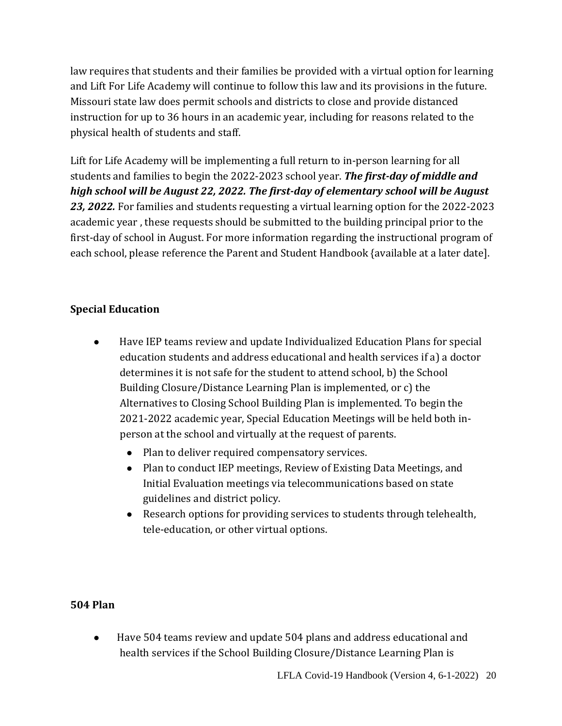law requires that students and their families be provided with a virtual option for learning and Lift For Life Academy will continue to follow this law and its provisions in the future. Missouri state law does permit schools and districts to close and provide distanced instruction for up to 36 hours in an academic year, including for reasons related to the physical health of students and staff.

Lift for Life Academy will be implementing a full return to in-person learning for all students and families to begin the 2022-2023 school year. *The first-day of middle and high school will be August 22, 2022. The first-day of elementary school will be August 23, 2022.* For families and students requesting a virtual learning option for the 2022-2023 academic year , these requests should be submitted to the building principal prior to the first-day of school in August. For more information regarding the instructional program of each school, please reference the Parent and Student Handbook {available at a later date].

### **Special Education**

- Have IEP teams review and update Individualized Education Plans for special education students and address educational and health services if a) a doctor determines it is not safe for the student to attend school, b) the School Building Closure/Distance Learning Plan is implemented, or c) the Alternatives to Closing School Building Plan is implemented. To begin the 2021-2022 academic year, Special Education Meetings will be held both inperson at the school and virtually at the request of parents.
	- Plan to deliver required compensatory services.
	- Plan to conduct IEP meetings, Review of Existing Data Meetings, and Initial Evaluation meetings via telecommunications based on state guidelines and district policy.
	- Research options for providing services to students through telehealth, tele-education, or other virtual options.

### **504 Plan**

● Have 504 teams review and update 504 plans and address educational and health services if the School Building Closure/Distance Learning Plan is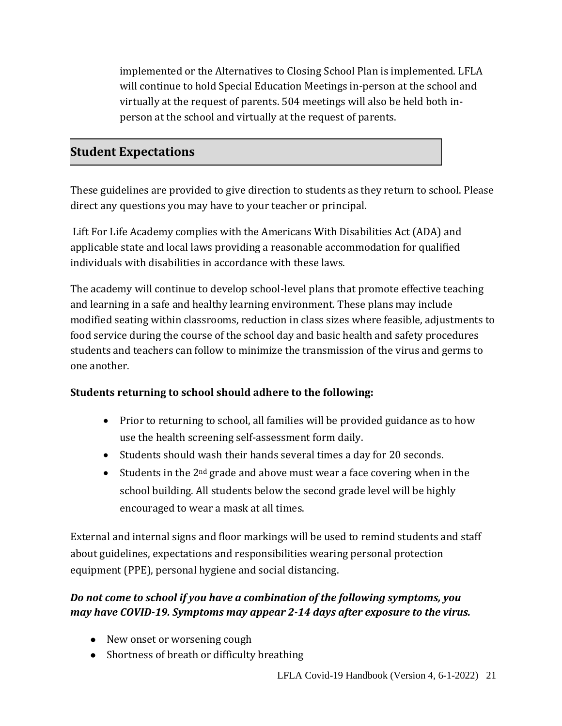implemented or the Alternatives to Closing School Plan is implemented. LFLA will continue to hold Special Education Meetings in-person at the school and virtually at the request of parents. 504 meetings will also be held both inperson at the school and virtually at the request of parents.

## **Student Expectations**

These guidelines are provided to give direction to students as they return to school. Please direct any questions you may have to your teacher or principal.

Lift For Life Academy complies with the Americans With Disabilities Act (ADA) and applicable state and local laws providing a reasonable accommodation for qualified individuals with disabilities in accordance with these laws.

The academy will continue to develop school-level plans that promote effective teaching and learning in a safe and healthy learning environment. These plans may include modified seating within classrooms, reduction in class sizes where feasible, adjustments to food service during the course of the school day and basic health and safety procedures students and teachers can follow to minimize the transmission of the virus and germs to one another.

### **Students returning to school should adhere to the following:**

- Prior to returning to school, all families will be provided guidance as to how use the health screening self-assessment form daily.
- Students should wash their hands several times a day for 20 seconds.
- Students in the  $2<sup>nd</sup>$  grade and above must wear a face covering when in the school building. All students below the second grade level will be highly encouraged to wear a mask at all times.

External and internal signs and floor markings will be used to remind students and staff about guidelines, expectations and responsibilities wearing personal protection equipment (PPE), personal hygiene and social distancing.

## *Do not come to school if you have a combination of the following symptoms, you may have COVID-19. Symptoms may appear 2-14 days after exposure to the virus.*

- New onset or worsening cough
- Shortness of breath or difficulty breathing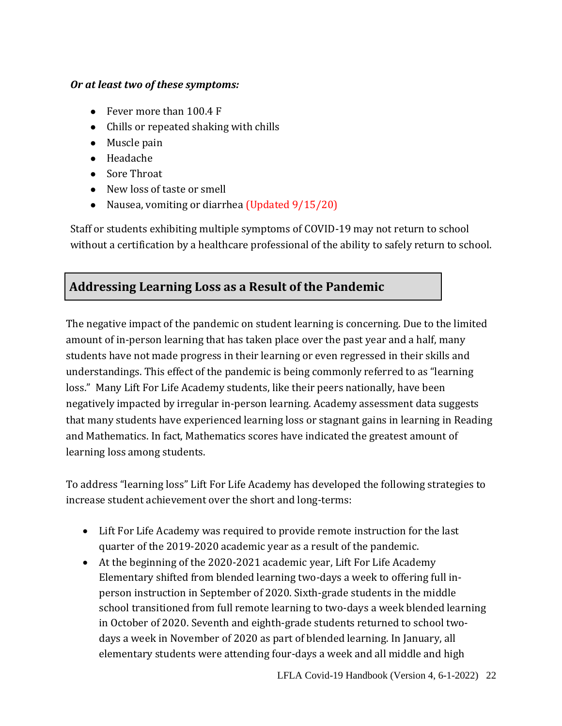#### *Or at least two of these symptoms:*

- Fever more than 100.4 F
- Chills or repeated shaking with chills
- Muscle pain
- Headache
- Sore Throat
- New loss of taste or smell
- Nausea, vomiting or diarrhea (Updated 9/15/20)

Staff or students exhibiting multiple symptoms of COVID-19 may not return to school without a certification by a healthcare professional of the ability to safely return to school.

## **Addressing Learning Loss as a Result of the Pandemic**

The negative impact of the pandemic on student learning is concerning. Due to the limited amount of in-person learning that has taken place over the past year and a half, many students have not made progress in their learning or even regressed in their skills and understandings. This effect of the pandemic is being commonly referred to as "learning loss." Many Lift For Life Academy students, like their peers nationally, have been negatively impacted by irregular in-person learning. Academy assessment data suggests that many students have experienced learning loss or stagnant gains in learning in Reading and Mathematics. In fact, Mathematics scores have indicated the greatest amount of learning loss among students.

To address "learning loss" Lift For Life Academy has developed the following strategies to increase student achievement over the short and long-terms:

- Lift For Life Academy was required to provide remote instruction for the last quarter of the 2019-2020 academic year as a result of the pandemic.
- At the beginning of the 2020-2021 academic year, Lift For Life Academy Elementary shifted from blended learning two-days a week to offering full inperson instruction in September of 2020. Sixth-grade students in the middle school transitioned from full remote learning to two-days a week blended learning in October of 2020. Seventh and eighth-grade students returned to school twodays a week in November of 2020 as part of blended learning. In January, all elementary students were attending four-days a week and all middle and high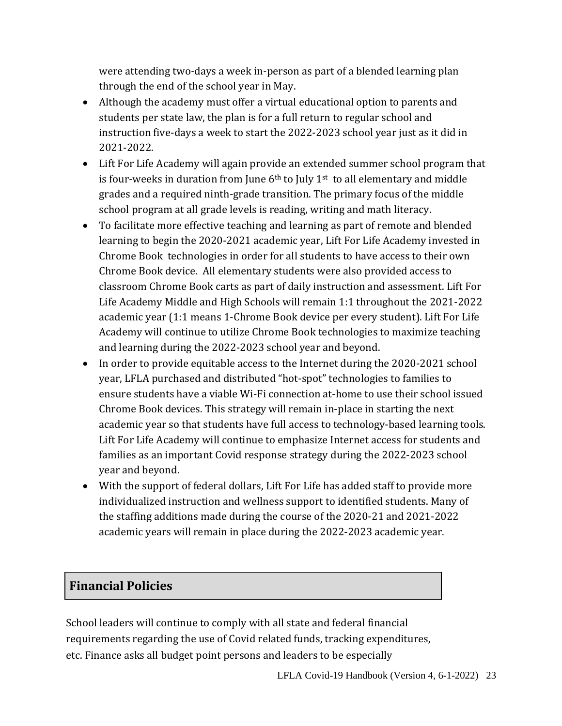were attending two-days a week in-person as part of a blended learning plan through the end of the school year in May.

- Although the academy must offer a virtual educational option to parents and students per state law, the plan is for a full return to regular school and instruction five-days a week to start the 2022-2023 school year just as it did in 2021-2022.
- Lift For Life Academy will again provide an extended summer school program that is four-weeks in duration from June  $6<sup>th</sup>$  to July 1<sup>st</sup> to all elementary and middle grades and a required ninth-grade transition. The primary focus of the middle school program at all grade levels is reading, writing and math literacy.
- To facilitate more effective teaching and learning as part of remote and blended learning to begin the 2020-2021 academic year, Lift For Life Academy invested in Chrome Book technologies in order for all students to have access to their own Chrome Book device. All elementary students were also provided access to classroom Chrome Book carts as part of daily instruction and assessment. Lift For Life Academy Middle and High Schools will remain 1:1 throughout the 2021-2022 academic year (1:1 means 1-Chrome Book device per every student). Lift For Life Academy will continue to utilize Chrome Book technologies to maximize teaching and learning during the 2022-2023 school year and beyond.
- In order to provide equitable access to the Internet during the 2020-2021 school year, LFLA purchased and distributed "hot-spot" technologies to families to ensure students have a viable Wi-Fi connection at-home to use their school issued Chrome Book devices. This strategy will remain in-place in starting the next academic year so that students have full access to technology-based learning tools. Lift For Life Academy will continue to emphasize Internet access for students and families as an important Covid response strategy during the 2022-2023 school year and beyond.
- With the support of federal dollars, Lift For Life has added staff to provide more individualized instruction and wellness support to identified students. Many of the staffing additions made during the course of the 2020-21 and 2021-2022 academic years will remain in place during the 2022-2023 academic year.

## **Financial Policies**

School leaders will continue to comply with all state and federal financial requirements regarding the use of Covid related funds, tracking expenditures, etc. Finance asks all budget point persons and leaders to be especially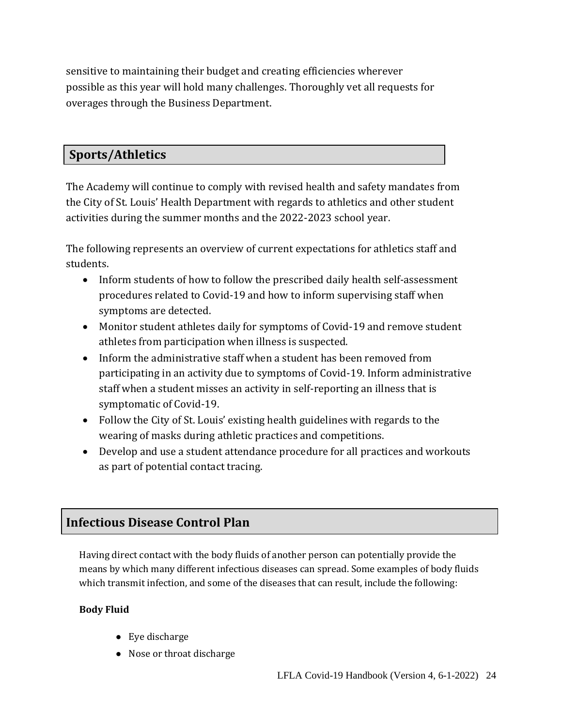sensitive to maintaining their budget and creating efficiencies wherever possible as this year will hold many challenges. Thoroughly vet all requests for overages through the Business Department.

## **Sports/Athletics**

The Academy will continue to comply with revised health and safety mandates from the City of St. Louis' Health Department with regards to athletics and other student activities during the summer months and the 2022-2023 school year.

The following represents an overview of current expectations for athletics staff and students.

- Inform students of how to follow the prescribed daily health self-assessment procedures related to Covid-19 and how to inform supervising staff when symptoms are detected.
- Monitor student athletes daily for symptoms of Covid-19 and remove student athletes from participation when illness is suspected.
- Inform the administrative staff when a student has been removed from participating in an activity due to symptoms of Covid-19. Inform administrative staff when a student misses an activity in self-reporting an illness that is symptomatic of Covid-19.
- Follow the City of St. Louis' existing health guidelines with regards to the wearing of masks during athletic practices and competitions.
- Develop and use a student attendance procedure for all practices and workouts as part of potential contact tracing.

# **Infectious Disease Control Plan**

Having direct contact with the body fluids of another person can potentially provide the means by which many different infectious diseases can spread. Some examples of body fluids which transmit infection, and some of the diseases that can result, include the following:

### **Body Fluid**

- Eye discharge
- Nose or throat discharge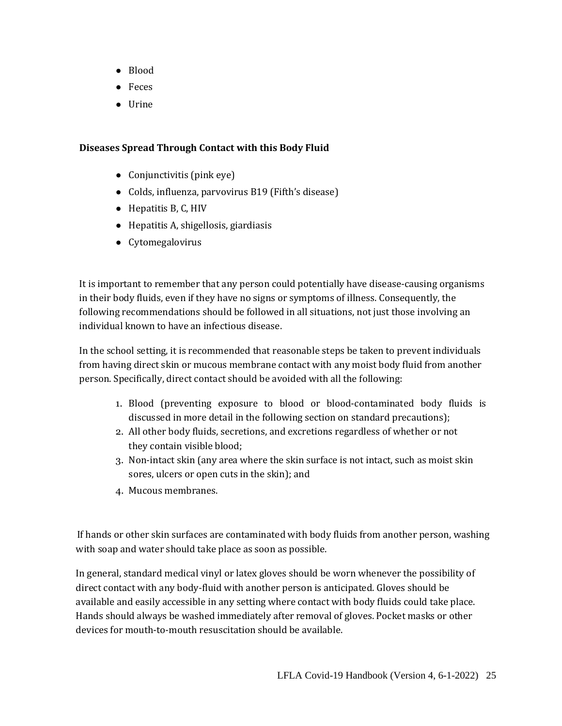- Blood
- Feces
- Urine

#### **Diseases Spread Through Contact with this Body Fluid**

- Conjunctivitis (pink eye)
- Colds, influenza, parvovirus B19 (Fifth's disease)
- Hepatitis B, C, HIV
- Hepatitis A, shigellosis, giardiasis
- Cytomegalovirus

It is important to remember that any person could potentially have disease-causing organisms in their body fluids, even if they have no signs or symptoms of illness. Consequently, the following recommendations should be followed in all situations, not just those involving an individual known to have an infectious disease.

In the school setting, it is recommended that reasonable steps be taken to prevent individuals from having direct skin or mucous membrane contact with any moist body fluid from another person. Specifically, direct contact should be avoided with all the following:

- 1. Blood (preventing exposure to blood or blood-contaminated body fluids is discussed in more detail in the following section on standard precautions);
- 2. All other body fluids, secretions, and excretions regardless of whether or not they contain visible blood;
- 3. Non-intact skin (any area where the skin surface is not intact, such as moist skin sores, ulcers or open cuts in the skin); and
- 4. Mucous membranes.

 If hands or other skin surfaces are contaminated with body fluids from another person, washing with soap and water should take place as soon as possible.

In general, standard medical vinyl or latex gloves should be worn whenever the possibility of direct contact with any body-fluid with another person is anticipated. Gloves should be available and easily accessible in any setting where contact with body fluids could take place. Hands should always be washed immediately after removal of gloves. Pocket masks or other devices for mouth-to-mouth resuscitation should be available.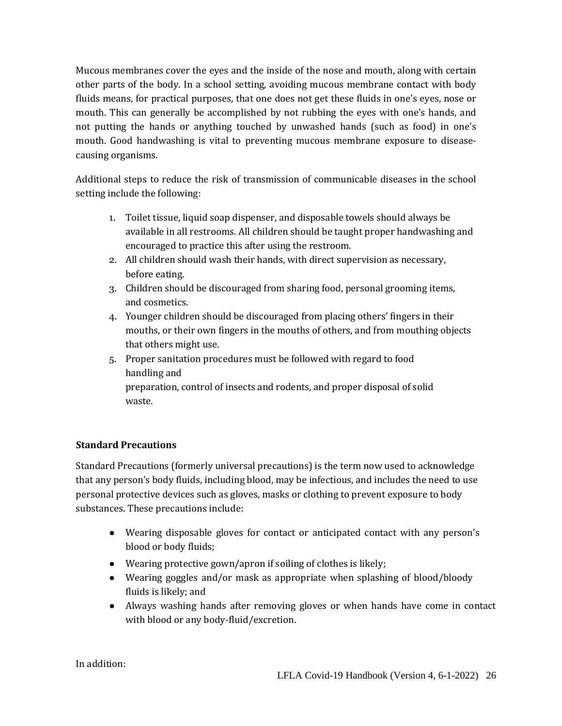Mucous membranes cover the eyes and the inside of the nose and mouth, along with certain other parts of the body. In a school setting, avoiding mucous membrane contact with body fluids means, for practical purposes, that one does not get these fluids in one's eyes, nose or mouth. This can generally be accomplished by not rubbing the eyes with one's hands, and not putting the hands or anything touched by unwashed hands (such as food) in one's mouth. Good handwashing is vital to preventing mucous membrane exposure to diseasecausing organisms.

Additional steps to reduce the risk of transmission of communicable diseases in the school setting include the following:

- 1. Toilet tissue, liquid soap dispenser, and disposable towels should always be available in all restrooms. All children should be taught proper handwashing and encouraged to practice this after using the restroom.
- 2. All children should wash their hands, with direct supervision as necessary, before eating.
- 3. Children should be discouraged from sharing food, personal grooming items, and cosmetics.
- 4. Younger children should be discouraged from placing others' fingers in their mouths, or their own fingers in the mouths of others, and from mouthing objects that others might use.
- 5. Proper sanitation procedures must be followed with regard to food handling and preparation, control of insects and rodents, and proper disposal of solid

waste.

#### **Standard Precautions**

Standard Precautions (formerly universal precautions) is the term now used to acknowledge that any person's body fluids, including blood, may be infectious, and includes the need to use personal protective devices such as gloves, masks or clothing to prevent exposure to body substances. These precautions include:

- Wearing disposable gloves for contact or anticipated contact with any person's blood or body fluids;
- Wearing protective gown/apron if soiling of clothes is likely;
- Wearing goggles and/or mask as appropriate when splashing of blood/bloody fluids is likely; and
- Always washing hands after removing gloves or when hands have come in contact with blood or any body-fluid/excretion.

In addition: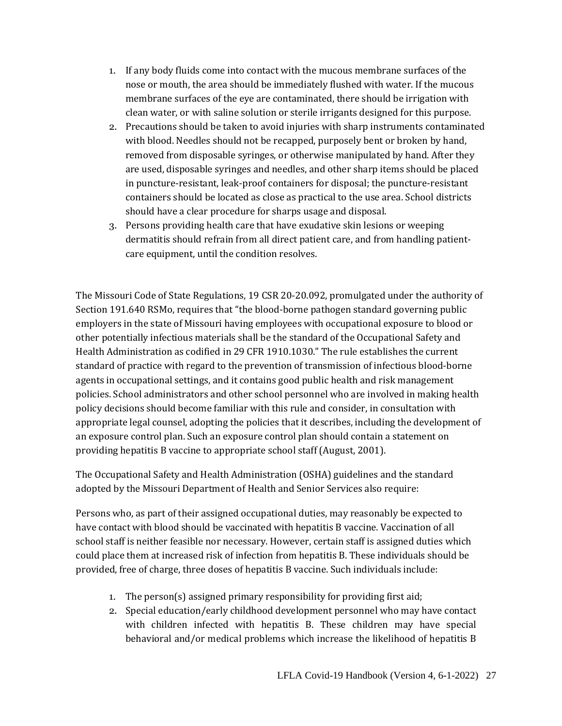- 1. If any body fluids come into contact with the mucous membrane surfaces of the nose or mouth, the area should be immediately flushed with water. If the mucous membrane surfaces of the eye are contaminated, there should be irrigation with clean water, or with saline solution or sterile irrigants designed for this purpose.
- 2. Precautions should be taken to avoid injuries with sharp instruments contaminated with blood. Needles should not be recapped, purposely bent or broken by hand, removed from disposable syringes, or otherwise manipulated by hand. After they are used, disposable syringes and needles, and other sharp items should be placed in puncture-resistant, leak-proof containers for disposal; the puncture-resistant containers should be located as close as practical to the use area. School districts should have a clear procedure for sharps usage and disposal.
- 3. Persons providing health care that have exudative skin lesions or weeping dermatitis should refrain from all direct patient care, and from handling patientcare equipment, until the condition resolves.

The Missouri Code of State Regulations, 19 CSR 20-20.092, promulgated under the authority of Section 191.640 RSMo, requires that "the blood-borne pathogen standard governing public employers in the state of Missouri having employees with occupational exposure to blood or other potentially infectious materials shall be the standard of the Occupational Safety and Health Administration as codified in 29 CFR 1910.1030." The rule establishes the current standard of practice with regard to the prevention of transmission of infectious blood-borne agents in occupational settings, and it contains good public health and risk management policies. School administrators and other school personnel who are involved in making health policy decisions should become familiar with this rule and consider, in consultation with appropriate legal counsel, adopting the policies that it describes, including the development of an exposure control plan. Such an exposure control plan should contain a statement on providing hepatitis B vaccine to appropriate school staff (August, 2001).

The Occupational Safety and Health Administration (OSHA) guidelines and the standard adopted by the Missouri Department of Health and Senior Services also require:

Persons who, as part of their assigned occupational duties, may reasonably be expected to have contact with blood should be vaccinated with hepatitis B vaccine. Vaccination of all school staff is neither feasible nor necessary. However, certain staff is assigned duties which could place them at increased risk of infection from hepatitis B. These individuals should be provided, free of charge, three doses of hepatitis B vaccine. Such individuals include:

- 1. The person(s) assigned primary responsibility for providing first aid;
- 2. Special education/early childhood development personnel who may have contact with children infected with hepatitis B. These children may have special behavioral and/or medical problems which increase the likelihood of hepatitis B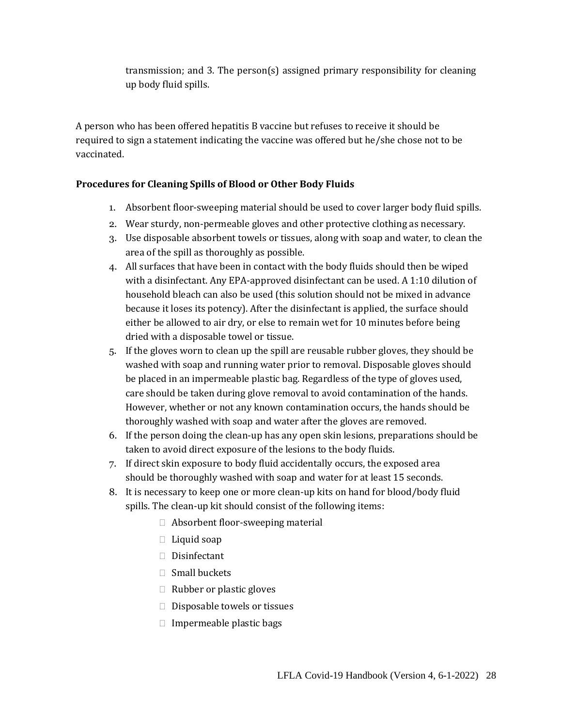transmission; and 3. The person(s) assigned primary responsibility for cleaning up body fluid spills.

A person who has been offered hepatitis B vaccine but refuses to receive it should be required to sign a statement indicating the vaccine was offered but he/she chose not to be vaccinated.

#### **Procedures for Cleaning Spills of Blood or Other Body Fluids**

- 1. Absorbent floor-sweeping material should be used to cover larger body fluid spills.
- 2. Wear sturdy, non-permeable gloves and other protective clothing as necessary.
- 3. Use disposable absorbent towels or tissues, along with soap and water, to clean the area of the spill as thoroughly as possible.
- 4. All surfaces that have been in contact with the body fluids should then be wiped with a disinfectant. Any EPA-approved disinfectant can be used. A 1:10 dilution of household bleach can also be used (this solution should not be mixed in advance because it loses its potency). After the disinfectant is applied, the surface should either be allowed to air dry, or else to remain wet for 10 minutes before being dried with a disposable towel or tissue.
- 5. If the gloves worn to clean up the spill are reusable rubber gloves, they should be washed with soap and running water prior to removal. Disposable gloves should be placed in an impermeable plastic bag. Regardless of the type of gloves used, care should be taken during glove removal to avoid contamination of the hands. However, whether or not any known contamination occurs, the hands should be thoroughly washed with soap and water after the gloves are removed.
- 6. If the person doing the clean-up has any open skin lesions, preparations should be taken to avoid direct exposure of the lesions to the body fluids.
- 7. If direct skin exposure to body fluid accidentally occurs, the exposed area should be thoroughly washed with soap and water for at least 15 seconds.
- 8. It is necessary to keep one or more clean-up kits on hand for blood/body fluid spills. The clean-up kit should consist of the following items:
	- $\Box$  Absorbent floor-sweeping material
	- $\Box$  Liquid soap
	- □ Disinfectant
	- $\Box$  Small buckets
	- $\Box$  Rubber or plastic gloves
	- $\Box$  Disposable towels or tissues
	- $\Box$  Impermeable plastic bags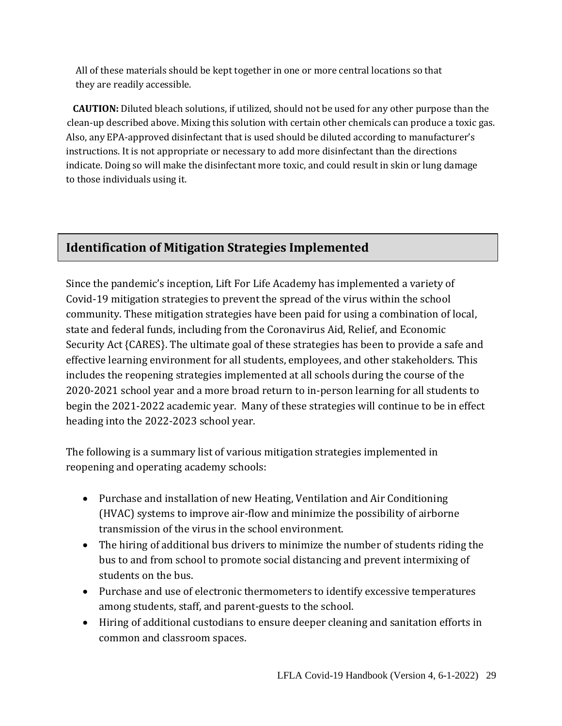All of these materials should be kept together in one or more central locations so that they are readily accessible.

**CAUTION:** Diluted bleach solutions, if utilized, should not be used for any other purpose than the clean-up described above. Mixing this solution with certain other chemicals can produce a toxic gas. Also, any EPA-approved disinfectant that is used should be diluted according to manufacturer's instructions. It is not appropriate or necessary to add more disinfectant than the directions indicate. Doing so will make the disinfectant more toxic, and could result in skin or lung damage to those individuals using it.

# **Identification of Mitigation Strategies Implemented**

Since the pandemic's inception, Lift For Life Academy has implemented a variety of Covid-19 mitigation strategies to prevent the spread of the virus within the school community. These mitigation strategies have been paid for using a combination of local, state and federal funds, including from the Coronavirus Aid, Relief, and Economic Security Act {CARES}. The ultimate goal of these strategies has been to provide a safe and effective learning environment for all students, employees, and other stakeholders. This includes the reopening strategies implemented at all schools during the course of the 2020-2021 school year and a more broad return to in-person learning for all students to begin the 2021-2022 academic year. Many of these strategies will continue to be in effect heading into the 2022-2023 school year.

The following is a summary list of various mitigation strategies implemented in reopening and operating academy schools:

- Purchase and installation of new Heating, Ventilation and Air Conditioning (HVAC) systems to improve air-flow and minimize the possibility of airborne transmission of the virus in the school environment.
- The hiring of additional bus drivers to minimize the number of students riding the bus to and from school to promote social distancing and prevent intermixing of students on the bus.
- Purchase and use of electronic thermometers to identify excessive temperatures among students, staff, and parent-guests to the school.
- Hiring of additional custodians to ensure deeper cleaning and sanitation efforts in common and classroom spaces.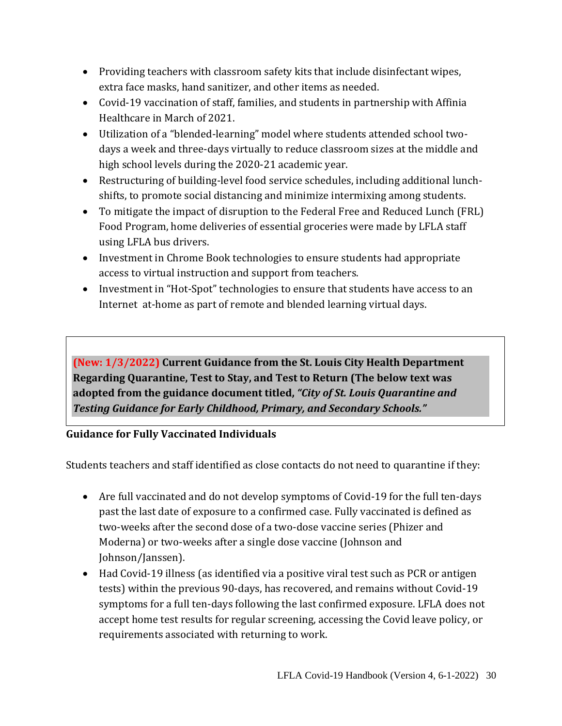- Providing teachers with classroom safety kits that include disinfectant wipes, extra face masks, hand sanitizer, and other items as needed.
- Covid-19 vaccination of staff, families, and students in partnership with Affinia Healthcare in March of 2021.
- Utilization of a "blended-learning" model where students attended school twodays a week and three-days virtually to reduce classroom sizes at the middle and high school levels during the 2020-21 academic year.
- Restructuring of building-level food service schedules, including additional lunchshifts, to promote social distancing and minimize intermixing among students.
- To mitigate the impact of disruption to the Federal Free and Reduced Lunch (FRL) Food Program, home deliveries of essential groceries were made by LFLA staff using LFLA bus drivers.
- Investment in Chrome Book technologies to ensure students had appropriate access to virtual instruction and support from teachers.
- Investment in "Hot-Spot" technologies to ensure that students have access to an Internet at-home as part of remote and blended learning virtual days.

**(New: 1/3/2022) Current Guidance from the St. Louis City Health Department Regarding Quarantine, Test to Stay, and Test to Return (The below text was adopted from the guidance document titled,** *"City of St. Louis Quarantine and Testing Guidance for Early Childhood, Primary, and Secondary Schools."*

## **Guidance for Fully Vaccinated Individuals**

Students teachers and staff identified as close contacts do not need to quarantine if they:

- Are full vaccinated and do not develop symptoms of Covid-19 for the full ten-days past the last date of exposure to a confirmed case. Fully vaccinated is defined as two-weeks after the second dose of a two-dose vaccine series (Phizer and Moderna) or two-weeks after a single dose vaccine (Johnson and Johnson/Janssen).
- Had Covid-19 illness (as identified via a positive viral test such as PCR or antigen tests) within the previous 90-days, has recovered, and remains without Covid-19 symptoms for a full ten-days following the last confirmed exposure. LFLA does not accept home test results for regular screening, accessing the Covid leave policy, or requirements associated with returning to work.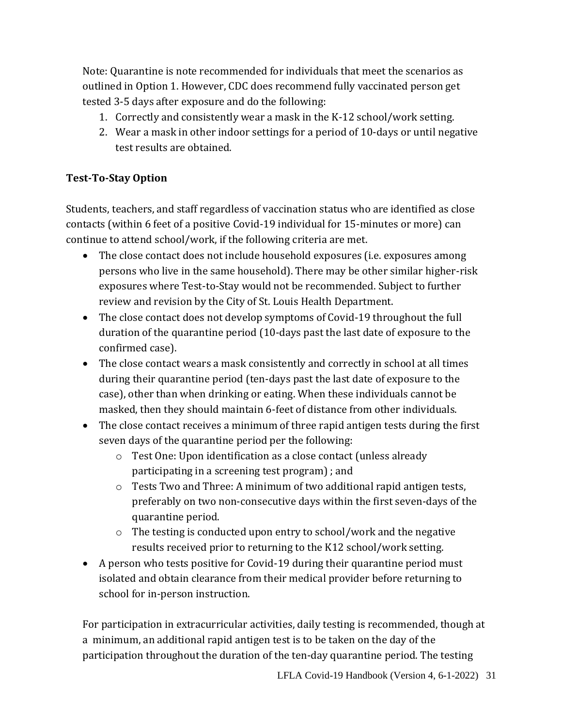Note: Quarantine is note recommended for individuals that meet the scenarios as outlined in Option 1. However, CDC does recommend fully vaccinated person get tested 3-5 days after exposure and do the following:

- 1. Correctly and consistently wear a mask in the K-12 school/work setting.
- 2. Wear a mask in other indoor settings for a period of 10-days or until negative test results are obtained.

## **Test-To-Stay Option**

Students, teachers, and staff regardless of vaccination status who are identified as close contacts (within 6 feet of a positive Covid-19 individual for 15-minutes or more) can continue to attend school/work, if the following criteria are met.

- The close contact does not include household exposures (i.e. exposures among persons who live in the same household). There may be other similar higher-risk exposures where Test-to-Stay would not be recommended. Subject to further review and revision by the City of St. Louis Health Department.
- The close contact does not develop symptoms of Covid-19 throughout the full duration of the quarantine period (10-days past the last date of exposure to the confirmed case).
- The close contact wears a mask consistently and correctly in school at all times during their quarantine period (ten-days past the last date of exposure to the case), other than when drinking or eating. When these individuals cannot be masked, then they should maintain 6-feet of distance from other individuals.
- The close contact receives a minimum of three rapid antigen tests during the first seven days of the quarantine period per the following:
	- o Test One: Upon identification as a close contact (unless already participating in a screening test program) ; and
	- $\circ$  Tests Two and Three: A minimum of two additional rapid antigen tests, preferably on two non-consecutive days within the first seven-days of the quarantine period.
	- o The testing is conducted upon entry to school/work and the negative results received prior to returning to the K12 school/work setting.
- A person who tests positive for Covid-19 during their quarantine period must isolated and obtain clearance from their medical provider before returning to school for in-person instruction.

For participation in extracurricular activities, daily testing is recommended, though at a minimum, an additional rapid antigen test is to be taken on the day of the participation throughout the duration of the ten-day quarantine period. The testing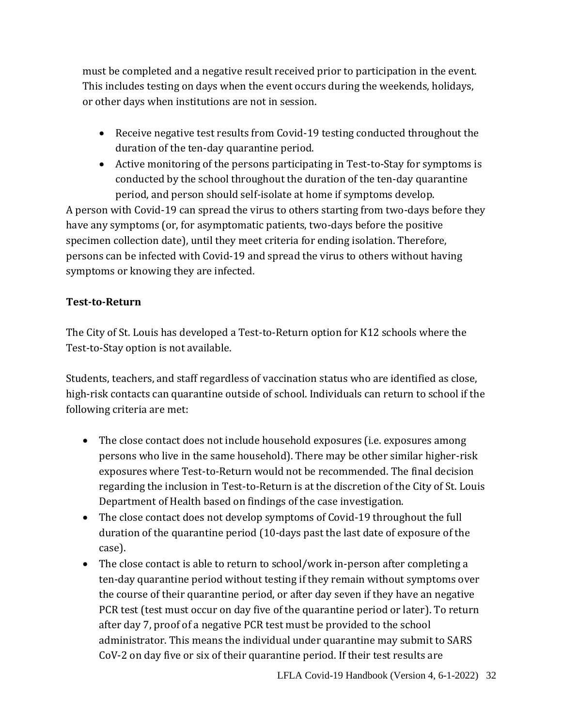must be completed and a negative result received prior to participation in the event. This includes testing on days when the event occurs during the weekends, holidays, or other days when institutions are not in session.

- Receive negative test results from Covid-19 testing conducted throughout the duration of the ten-day quarantine period.
- Active monitoring of the persons participating in Test-to-Stay for symptoms is conducted by the school throughout the duration of the ten-day quarantine period, and person should self-isolate at home if symptoms develop.

A person with Covid-19 can spread the virus to others starting from two-days before they have any symptoms (or, for asymptomatic patients, two-days before the positive specimen collection date), until they meet criteria for ending isolation. Therefore, persons can be infected with Covid-19 and spread the virus to others without having symptoms or knowing they are infected.

### **Test-to-Return**

The City of St. Louis has developed a Test-to-Return option for K12 schools where the Test-to-Stay option is not available.

Students, teachers, and staff regardless of vaccination status who are identified as close, high-risk contacts can quarantine outside of school. Individuals can return to school if the following criteria are met:

- The close contact does not include household exposures (i.e. exposures among persons who live in the same household). There may be other similar higher-risk exposures where Test-to-Return would not be recommended. The final decision regarding the inclusion in Test-to-Return is at the discretion of the City of St. Louis Department of Health based on findings of the case investigation.
- The close contact does not develop symptoms of Covid-19 throughout the full duration of the quarantine period (10-days past the last date of exposure of the case).
- The close contact is able to return to school/work in-person after completing a ten-day quarantine period without testing if they remain without symptoms over the course of their quarantine period, or after day seven if they have an negative PCR test (test must occur on day five of the quarantine period or later). To return after day 7, proof of a negative PCR test must be provided to the school administrator. This means the individual under quarantine may submit to SARS CoV-2 on day five or six of their quarantine period. If their test results are